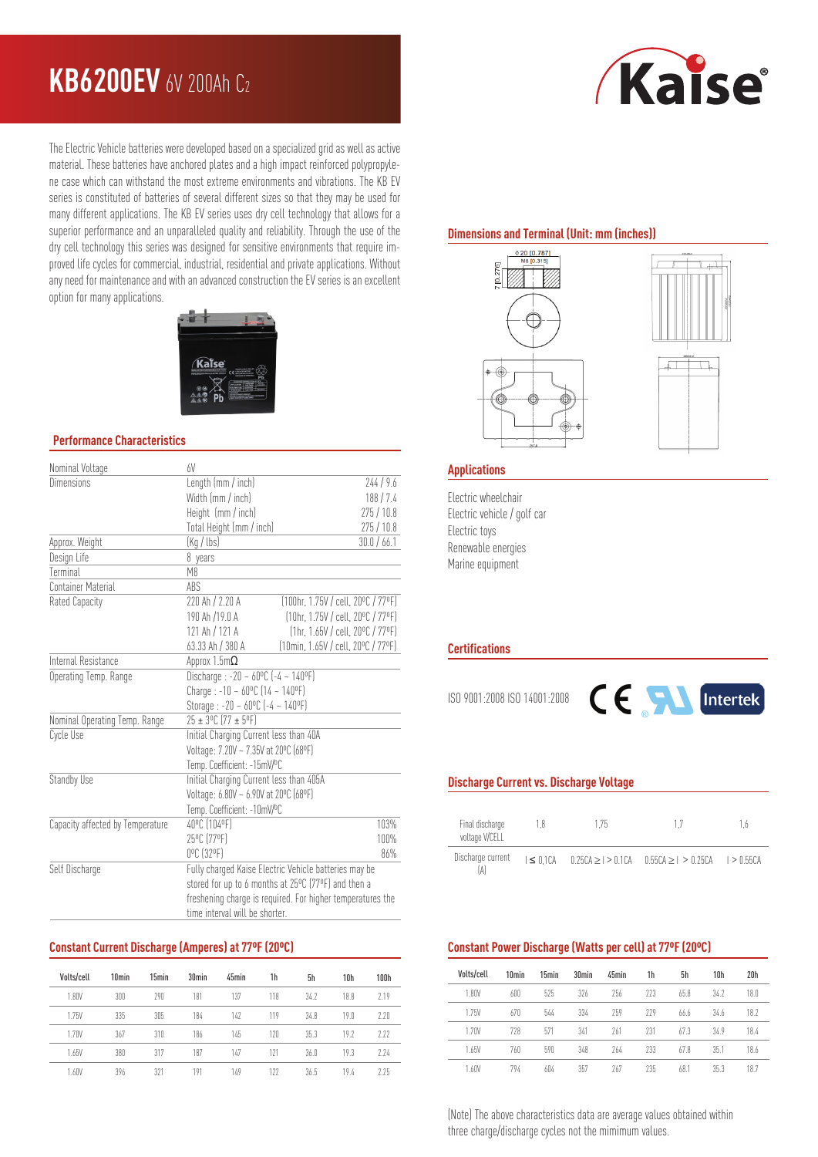# **KB6200EV** 6V 200Ah C<sup>2</sup>



The Electric Vehicle batteries were developed based on a specialized grid as well as active material. These batteries have anchored plates and a high impact reinforced polypropylene case which can withstand the most extreme environments and vibrations. The KB EV series is constituted of batteries of several different sizes so that they may be used for many different applications. The KB EV series uses dry cell technology that allows for a superior performance and an unparalleled quality and reliability. Through the use of the dry cell technology this series was designed for sensitive environments that require improved life cycles for commercial, industrial, residential and private applications. Without any need for maintenance and with an advanced construction the EV series is an excellent option for many applications.



#### **Performance Characteristics**

| Nominal Voltage                  | 6V                                                         |                                                  |  |  |  |
|----------------------------------|------------------------------------------------------------|--------------------------------------------------|--|--|--|
| Dimensions                       | Length (mm / inch)                                         | 244/9.6                                          |  |  |  |
|                                  | Width (mm / inch)<br>188/7.4                               |                                                  |  |  |  |
|                                  | Height (mm / inch)                                         | 275/10.8                                         |  |  |  |
|                                  | Total Height (mm / inch)                                   | 275/10.8                                         |  |  |  |
| Approx. Weight                   | (Kg / lbs)<br>30.0 / 66.1                                  |                                                  |  |  |  |
| Design Life                      | 8 years                                                    |                                                  |  |  |  |
| Terminal                         | M <sub>8</sub>                                             |                                                  |  |  |  |
| Container Material               | ABS                                                        |                                                  |  |  |  |
| Rated Capacity                   | 220 Ah / 2.20 A                                            | [100hr. 1.75V / cell. 20°C / 77°F]               |  |  |  |
|                                  | 190 Ah /19.0 A                                             | (10hr, 1.75V / cell, 20°C / 77°F)                |  |  |  |
|                                  | 121 Ah / 121 A                                             | $[1hr, 1.65V / cell, 20^{\circ}C / 77^{\circ}F]$ |  |  |  |
|                                  | 63.33 Ah / 380 A                                           | (10min, 1.65V / cell, 20°C / 77°F)               |  |  |  |
| Internal Resistance              | Approx 1.5m $\Omega$                                       |                                                  |  |  |  |
| Operating Temp. Range            | Discharge : -20 ~ $60^{\circ}$ C (-4 ~ 140°F)              |                                                  |  |  |  |
|                                  | Charge: $-10 - 60^{\circ}C(14 - 140^{\circ}F)$             |                                                  |  |  |  |
|                                  | Storage : -20 ~ $60^{\circ}$ C (-4 ~ 140°F)                |                                                  |  |  |  |
| Nominal Operating Temp. Range    | $25 \pm 3^{\circ}$ C (77 ± 5°F)                            |                                                  |  |  |  |
| Cycle Use                        | Initial Charging Current less than 40A                     |                                                  |  |  |  |
|                                  | Voltage: 7.20V ~ 7.35V at 20°C (68°F)                      |                                                  |  |  |  |
|                                  | Temp. Coefficient: -15mV/ºC                                |                                                  |  |  |  |
| Standby Use                      | Initial Charging Current less than 405A                    |                                                  |  |  |  |
|                                  | Voltage: 6.80V ~ 6.90V at 20°C (68°F)                      |                                                  |  |  |  |
|                                  | Temp. Coefficient: -10mV/°C                                |                                                  |  |  |  |
| Capacity affected by Temperature | 40°C (104°F)                                               | 103%                                             |  |  |  |
|                                  | 25°C (77°F)<br>100%                                        |                                                  |  |  |  |
|                                  | 0°C (32°F)                                                 | 86%                                              |  |  |  |
| Self Discharge                   | Fully charged Kaise Electric Vehicle batteries may be      |                                                  |  |  |  |
|                                  | stored for up to 6 months at 25°C (77°F) and then a        |                                                  |  |  |  |
|                                  | freshening charge is required. For higher temperatures the |                                                  |  |  |  |
|                                  | time interval will be shorter.                             |                                                  |  |  |  |

## **Constant Current Discharge (Amperes) at 77ºF (20ºC)**

| Volts/cell | 10 <sub>min</sub> | 15min | 30 <sub>min</sub> | 45min | 1h  | 5h   | 10 <sub>h</sub> | 100h |
|------------|-------------------|-------|-------------------|-------|-----|------|-----------------|------|
| 1.80V      | 300               | 290   | 181               | 137   | 118 | 34.7 | 188             | 2.19 |
| 1.75V      | 335               | 305   | 184               | 147   | 119 | 348  | 19 <sub>0</sub> | 2.20 |
| 1.70V      | 367               | 310   | 186               | 145   | 120 | 35.3 | 19.7            | 7.77 |
| 1.65V      | 380               | 317   | 187               | 147   | 171 | 36.0 | 19.3            | 7.74 |
| 1.60V      | 396               | 321   | 191               | 149   | 177 | 36.5 | 19.4            | 7.75 |

## **Dimensions and Terminal (Unit: mm (inches))**





#### **Applications**

Electric wheelchair Electric vehicle / golf car Electric toys Renewable energies Marine equipment

#### **Certifications**

ISO 9001:2008 ISO 14001:2008



## **Discharge Current vs. Discharge Voltage**

| Final discharge<br>voltage V/CELL | 175<br>1 R |  | 17                                                                              | 1 h |
|-----------------------------------|------------|--|---------------------------------------------------------------------------------|-----|
| Discharge current                 |            |  | $1 \le 0.1$ CA $0.25$ CA $> 1 > 0.1$ CA $0.55$ CA $> 1 > 0.25$ CA $1 > 0.55$ CA |     |

#### **Constant Power Discharge (Watts per cell) at 77ºF (20ºC)**

| Volts/cell | 10 <sub>min</sub> | 15 <sub>min</sub> | 30 <sub>min</sub> | 45min | 1h  | 5h   | 10 <sub>h</sub> | 20 <sub>h</sub> |
|------------|-------------------|-------------------|-------------------|-------|-----|------|-----------------|-----------------|
| 1.80V      | 600               | 525               | 326               | 256   | 223 | 65.8 | 34.7            | 18.0            |
| 1.75V      | 670               | 544               | 334               | 259   | 229 | 66.6 | 34.6            | 18.2            |
| 1.70V      | 778               | 571               | 341               | 761   | 231 | 673  | 349             | 184             |
| 1.65V      | 760               | 590               | 348               | 264   | 233 | 67.8 | 35.1            | 18.6            |
| 1.60V      | 794               | 604               | 357               | 267   | 235 | 68.1 | 35.3            | 18.7            |

(Note) The above characteristics data are average values obtained within three charge/discharge cycles not the mimimum values.